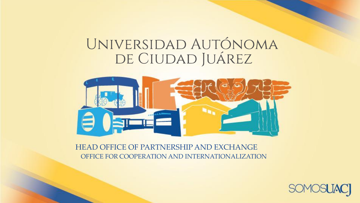# UNIVERSIDAD AUTÓNOMA<br>DE CIUDAD JUÁREZ



HEAD OFFICE OF PARTNERSHIP AND EXCHANGE OFFICE FOR COOPERATION AND INTERNATIONALIZATION

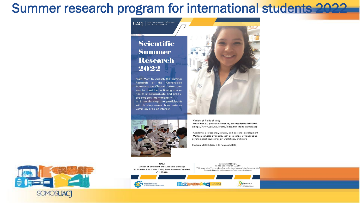#### Summer research program for international students 2022



 $\parallel$  Universidad Autónoma<br>de Ciudad Juárez

**UACI** 

From May to August, the Summer Research at the Universidad Autónoma de Ciudad Juárez pursues to boost the continuing education of undergraduate and graduate students internationally. In 2 months stay, the participants will develop research experience within an area of interest.





-Variety of fields of study -More than 50 projects offered by our academic staff (Link a https://www.uacj.mx/oferta/index.html (falta actualizar))

-Academic, professional, cultural, and personal development -Multiple services available, such as a school of languages, psychological counseling, art workshops, and more

Program details (Link a la hoja completa)



**UACJ** mov.estudiantii(Wuaq.mx Tel. +52 656 688 2100 ext. 2891 Division of Entailment and Academic Exchange Web page: https://www.uacj.mx/internacionalizacion/estudiantes\_intercambio.htm Av. Plutarco Elías Calles 1210, Fracc. Fovissste Chamizal, Facebook: https://www.facebook.com/internacionalizacion.uacj C.P. 32310 **BORTH EIRED AT A SOVERING** SUBDIRECCIÓN DE Dirección General de Vinculación e Intercambio OPERACIÓN E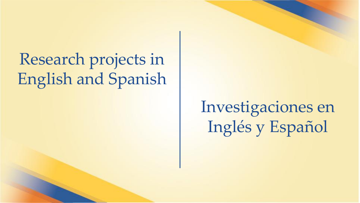## Research projects in English and Spanish

## Investigaciones en Inglés y Español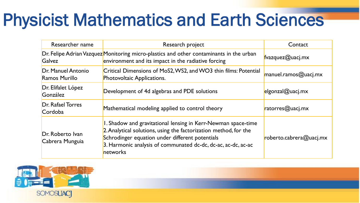## Physicist Mathematics and Earth Sciences

| Researcher name                     | Research project                                                                                                                                                                                                                                                  | Contact                 |
|-------------------------------------|-------------------------------------------------------------------------------------------------------------------------------------------------------------------------------------------------------------------------------------------------------------------|-------------------------|
| <b>Galvez</b>                       | Dr. Felipe Adrian Vazquez Monitoring micro-plastics and other contaminants in the urban<br>environment and its impact in the radiative forcing                                                                                                                    | fvazquez@uacj.mx        |
| Dr. Manuel Antonio<br>Ramos Murillo | Critical Dimensions of MoS2, WS2, and WO3 thin films: Potential<br><b>Photovoltaic Applications.</b>                                                                                                                                                              | $m$ anuel.ramos@uacj.mx |
| Dr. Elifalet López<br>González      | Development of 4d algebras and PDE solutions                                                                                                                                                                                                                      | $e$ lgonzal@uacj.mx     |
| <b>Dr. Rafael Torres</b><br>Cordoba | Mathematical modeling applied to control theory                                                                                                                                                                                                                   | ratorres@uacj.mx        |
| Dr. Roberto Ivan<br>Cabrera Munguia | 1. Shadow and gravitational lensing in Kerr-Newman space-time<br>2. Analytical solutions, using the factorization method, for the<br>Schrodinger equation under different potentials<br>3. Harmonic analysis of communated dc-dc, dc-ac, ac-dc, ac-ac<br>networks | roberto.cabrera@uacj.mx |

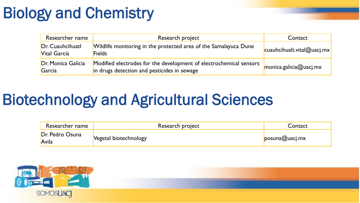#### Biology and Chemistry

| Researcher name                  | Research project                                                                                                  | Contact                                    |
|----------------------------------|-------------------------------------------------------------------------------------------------------------------|--------------------------------------------|
| Dr. Cuauhcihuatl<br>Vital García | Wildlife monitoring in the protected area of the Samalayuca Dune<br><b>Fields</b>                                 | $\vert$ cuauhcihualt.vital@uacj.mx $\vert$ |
| Dr. Monica Galicia<br>Garcia     | Modified electrodes for the development of electrochemical sensors<br>in drugs detection and pesticides in sewage | $m$ onica.galicia@uacj.mx                  |

#### Biotechnology and Agricultural Sciences

| Researcher name          | Research project      | Contact                     |
|--------------------------|-----------------------|-----------------------------|
| Dr. Pedro Osuna<br>Avila | Vegetal biotechnology | $\mathsf{posuna} @$ uacj.mx |

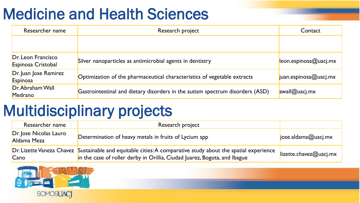#### Medicine and Health Sciences

| Researcher name                          | Research project                                                              | Contact                      |
|------------------------------------------|-------------------------------------------------------------------------------|------------------------------|
|                                          |                                                                               |                              |
| Dr. Leon Francisco<br>Espinosa Cristobal | Silver nanoparticles as antimicrobial agents in dentistry                     | $leon.$ espinosa@uacj.mx     |
| Dr. Juan Jose Ramirez<br>Espinosa        | Optimization of the pharmaceutical characteristics of vegetable extracts      | $juan.$ espinosa $@$ uacj.mx |
| Dr. Abraham Wall<br>Medrano              | Gastrointestinal and dietary disorders in the autism spectrum disorders (ASD) | avall@uacj,mx                |

#### Multidisciplinary projects

| Researcher name                       | Research project                                                                                                                                                                          |                                    |
|---------------------------------------|-------------------------------------------------------------------------------------------------------------------------------------------------------------------------------------------|------------------------------------|
| Dr. Jose Nicolas Lauro<br>Aldama Meza | Determination of heavy metals in fruits of Lycium spp                                                                                                                                     | $\vert$ jose.aldama@uacj.mx        |
| Cano                                  | Dr. Lizette Vaneza Chavez Sustainable and equitable cities: A comparative study about the spatial experience<br>in the case of roller derby in Orillia, Ciudad Juarez, Bogota, and Ibague | $\parallel$ lizette.chavez@uacj.mx |

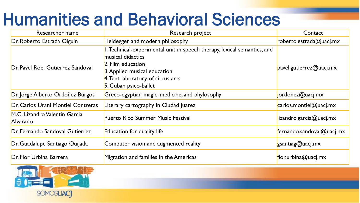### Humanities and Behavioral Sciences

| Researcher name                           | Research project                                                                                                                                                                                                 | Contact                             |
|-------------------------------------------|------------------------------------------------------------------------------------------------------------------------------------------------------------------------------------------------------------------|-------------------------------------|
| Dr. Roberto Estrada Olguin                | Heidegger and modern philosophy                                                                                                                                                                                  | roberto.estrada@uacj.mx             |
| Dr. Pavel Roel Gutierrez Sandoval         | I. Technical-experimental unit in speech therapy, lexical semantics, and<br>musical didactics<br>2. Film education<br>3. Applied musical education<br>4. Tent-laboratory of circus arts<br>5. Cuban psico-ballet | $\mathsf{p}$ avel.gutierrez@uacj.mx |
| Dr. Jorge Alberto Ordoñez Burgos          | Greco-egyptian magic, medicine, and phylosophy                                                                                                                                                                   | $j$ ordonez@uacj.mx                 |
| Dr. Carlos Urani Montiel Contreras        | Literary cartography in Ciudad Juarez                                                                                                                                                                            | $\alpha$ rlos.montiel@uacj.mx       |
| M.C. Lizandro Valentin Garcia<br>Alvarado | <b>Puerto Rico Summer Music Festival</b>                                                                                                                                                                         | $\parallel$ lizandro.garcia@uacj.mx |
| Dr. Fernando Sandoval Gutierrez           | <b>Education for quality life</b>                                                                                                                                                                                | fernando.sandoval@uacj.mx           |
| Dr. Guadalupe Santiago Quijada            | Computer vision and augmented reality                                                                                                                                                                            | gsantiag@uacj.mx                    |
| Dr. Flor Urbina Barrera                   | Migration and families in the Americas                                                                                                                                                                           | $flor.$ urbina@uacj.mx              |

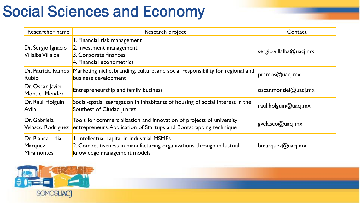#### Social Sciences and Economy

| Researcher name                                  | Research project                                                                                                                                   | Contact                      |
|--------------------------------------------------|----------------------------------------------------------------------------------------------------------------------------------------------------|------------------------------|
| Dr. Sergio Ignacio<br>Villalba Villalba          | I. Financial risk management<br>2. Investment management<br>3. Corporate finances<br>4. Financial econometrics                                     | sergio.villalba@uacj.mx      |
| Dr. Patricia Ramos<br>Rubio                      | Marketing niche, branding, culture, and social responsibility for regional and<br>business development                                             | pramos@uacj.mx               |
| Dr. Oscar Javier<br><b>Montiel Mendez</b>        | <b>Entrepreneurship and family business</b>                                                                                                        | $\cos$ cscar.montiel@uacj.mx |
| Dr. Raul Holguin<br>Avila                        | Social-spatial segregation in inhabitants of housing of social interest in the<br>Southest of Ciudad Juarez                                        | raul.holguin@uacj.mx         |
| Dr. Gabriela<br>Velasco Rodriguez                | Tools for commercialization and innovation of projects of university<br>entrepreneurs. Application of Startups and Bootstrapping technique         | gvelasco@uacj.mx             |
| Dr. Blanca Lidia<br>Marquez<br><b>Miramontes</b> | 1. Intellectual capital in industrial MSMEs<br>2. Competitiveness in manufacturing organizations through industrial<br>knowledge management models | $b$ marquez@uacj.mx          |

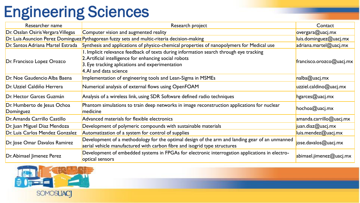#### Engineering Sciences

| Researcher name                          | Research project                                                                                                                                                                                                              | Contact                  |
|------------------------------------------|-------------------------------------------------------------------------------------------------------------------------------------------------------------------------------------------------------------------------------|--------------------------|
| Dr. Osslan Osiris Vergara Villegas       | Computer vision and augmented reality                                                                                                                                                                                         | overgara@uacj.mx         |
|                                          | Dr. Luis Asuncion Perez Dominguez Pythagorean fuzzy sets and multic-riteria decision-making                                                                                                                                   | luis.dominguez@uacj.mx   |
| Dr. Santos Adriana Martel Estrada        | Synthesis and applications of physico-chemical properties of nanopolymers for Medical use                                                                                                                                     | adriana.martel@uacj.mx   |
| Dr. Francisco Lopez Orozco               | I. Implicit relevance feedback of texts during information search through eye tracking<br>2. Artificial intelligence for enhancing social robots<br>3. Eye tracking aplications and experimentation<br>4. Al and data science | francisco.orozco@uacj.mx |
| Dr. Noe Gaudencio Alba Baena             | Implementation of engineering tools and Lean-Sigma in MSMEs                                                                                                                                                                   | nalba@uacj.mx            |
| Dr. Uzziel Caldiño Herrera               | Numerical analysis of external flows using OpenFOAM                                                                                                                                                                           | uzziel.caldino@uacj.mx   |
| Dr. Hector Garces Guzmán                 | Analysis of a wireless link, using SDR Software defined radio techniques                                                                                                                                                      | hgarces@uacj.mx          |
| Dr. Humberto de Jesus Ochoa<br>Domínguez | Phantom simulations to train deep networks in image reconstruction applications for nuclear<br>medicine                                                                                                                       | hochoa@uacj.mx           |
| Dr. Amanda Carrillo Castillo             | Advanced materials for flexible electronics                                                                                                                                                                                   | amanda.carrillo@uacj.mx  |
| Dr. Juan Miguel Diaz Mendoza             | Development of polymeric compounds with sustainable materials                                                                                                                                                                 | juan.diaz@uacj.mx        |
| Dr. Luis Carlos Mendez Gonzalez          | Automatization of a system for control of supplies                                                                                                                                                                            | luis. mendez@uacj.mx     |
| Dr. Jose Omar Davalos Ramirez            | Development of a methodology for the optimal design of the arm and landing gear of an unmanned<br>aerial vehicle manufactured with carbon fibre and isogrid type structures                                                   | jose.davalos@uacj.mx     |
| Dr. Abimael Jimenez Perez                | Development of embedded systems in FPGAs for electronic interrogation applications in electro-<br>optical sensors                                                                                                             | abimael.jimenez@uacj.mx  |

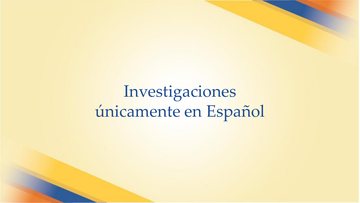Investigaciones únicamente en Español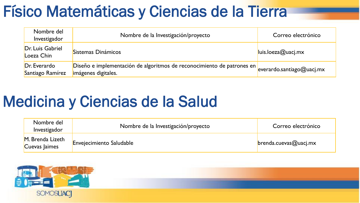#### Físico Matemáticas y Ciencias de la Tierra

| Nombre del<br>Investigador       | Nombre de la Investigación/proyecto                                                           | Correo electrónico           |
|----------------------------------|-----------------------------------------------------------------------------------------------|------------------------------|
| Dr. Luis Gabriel<br>Loeza Chin   | Sistemas Dinámicos                                                                            | luis. loeza@uacj.mx          |
| Dr. Everardo<br>Santiago Ramírez | Diseño e implementación de algoritmos de reconocimiento de patrones en<br>imágenes digitales. | $e$ verardo.santiago@uacj.mx |

#### Medicina y Ciencias de la Salud

| Nombre del<br>Investigador        | Nombre de la Investigación/proyecto | Correo electrónico                   |
|-----------------------------------|-------------------------------------|--------------------------------------|
| M. Brenda Lizeth<br>Cuevas Jaimes | <b>Envejecimiento Saludable</b>     | $\blacksquare$ brenda.cuevas@uacj.mx |

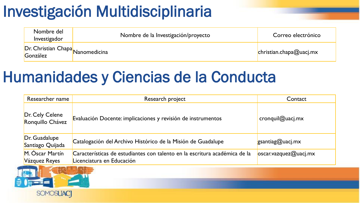#### Investigación Multidisciplinaria

| Nombre del<br>Investigador | Nombre de la Investigación/proyecto | Correo electrónico      |
|----------------------------|-------------------------------------|-------------------------|
| González                   | Ur. Christian Chapa Nanomedicina    | christian.chapa@uacj.mx |

#### Humanidades y Ciencias de la Conducta

| Researcher name                     | Research project                                                                                        | Contact                          |
|-------------------------------------|---------------------------------------------------------------------------------------------------------|----------------------------------|
| Dr. Cely Celene<br>Ronquillo Chávez | Evaluación Docente: implicaciones y revisión de instrumentos                                            | $c$ ronquil $@$ uacj.mx          |
| Dr. Guadalupe<br>Santiago Quijada   | Catalogación del Archivo Histórico de la Misión de Guadalupe                                            | gsantiag@uacj.mx                 |
| M. Óscar Martín<br>Vázquez Reyes    | Características de estudiantes con talento en la escritura académica de la<br>Licenciatura en Educación | $\cos$ cscar.vazquez $@$ uacj.mx |

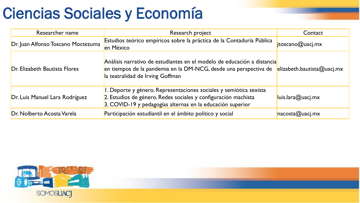#### Ciencias Sociales y Economía

| Researcher name                    | Research project                                                                                                                                                                                   | Contact                      |
|------------------------------------|----------------------------------------------------------------------------------------------------------------------------------------------------------------------------------------------------|------------------------------|
| Dr. Juan Alfonso Toscano Moctezuma | Estudios teórico empíricos sobre la práctica de la Contaduría Pública<br>en México                                                                                                                 | $\mathsf{j}$ toscano@uacj.mx |
| Dr. Elizabeth Bautista Flores      | Análisis narrativo de estudiantes en el modelo de educación a distancia<br>en tiempos de la pandemia en la DM-NCG, desde una perspectiva de<br>la teatralidad de Irving Goffman                    | elizableth.bautista@uaci.mx  |
| Dr. Luis Manuel Lara Rodríguez     | 1. Deporte y género. Representaciones sociales y semiótica sexista<br>2. Estudios de género. Redes sociales y configuración machista<br>3. COVID-19 y pedagogías alternas en la educación superior | luis.lara@uacj.mx            |
| Dr. Nolberto Acosta Varela         | Participación estudiantil en el ámbito político y social                                                                                                                                           | naccsta@uacj,mx              |

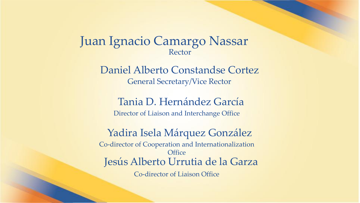#### Juan Ignacio Camargo Nassar Rector

Daniel Alberto Constandse Cortez General Secretary/Vice Rector

Tania D. Hernández García Director of Liaison and Interchange Office

Yadira Isela Márquez González Co-director of Cooperation and Internationalization **Office** Jesús Alberto Urrutia de la Garza Co-director of Liaison Office